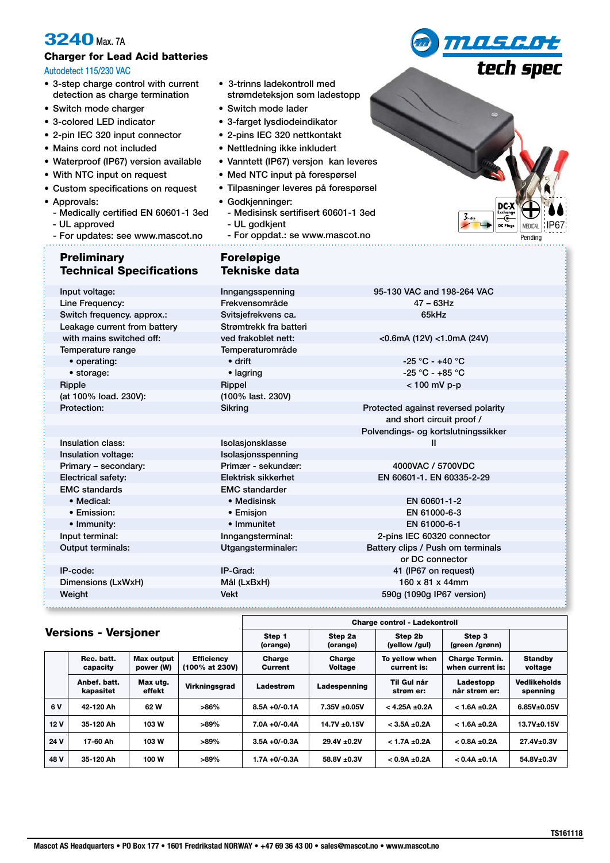# **3240** Max. 7A

# Charger for Lead Acid batteries

### Autodetect 115/230 VAC

- 3-step charge control with current detection as charge termination
- Switch mode charger
- 3-colored LED indicator
- 2-pin IEC 320 input connector
- Mains cord not included
- Waterproof (IP67) version available
- With NTC input on request
- Custom specifications on request
- Approvals:
- Medically certified EN 60601-1 3ed
- UL approved
- For updates: see www.mascot.no
- Preliminary **Foreløpige**
- 3-trinns ladekontroll med strømdeteksjon som ladestopp
- Switch mode lader
- 3-farget lysdiodeindikator
- 2-pins IEC 320 nettkontakt
- Nettledning ikke inkludert
- Vanntett (IP67) versjon kan leveres
- Med NTC input på forespørsel
- Tilpasninger leveres på forespørsel
- Godkjenninger: - Medisinsk sertifisert 60601-1 3ed
	- UL godkjent
	- For oppdat.: se www.mascot.no

| ∍                            |                                                        |
|------------------------------|--------------------------------------------------------|
| $\mathcal{Z}_{\text{-step}}$ | $DC X^{\text{Example}}$<br>IP67<br>DC Plugs<br>MEDICAL |
|                              | Pending                                                |

*MASLOt* 

tech spec

| <b>Technical Specifications</b> | <b>Tekniske data</b>   |                                     |
|---------------------------------|------------------------|-------------------------------------|
| Input voltage:                  | Inngangsspenning       | 95-130 VAC and 198-264 VAC          |
| Line Frequency:                 | Frekvensområde         | $47 - 63$ Hz                        |
| Switch frequency. approx.:      | Svitsjefrekvens ca.    | 65kHz                               |
| Leakage current from battery    | Strømtrekk fra batteri |                                     |
| with mains switched off:        | ved frakoblet nett:    | $<$ 0.6mA (12V) $<$ 1.0mA (24V)     |
| Temperature range               | Temperaturområde       |                                     |
| • operating:                    | $\bullet$ drift        | $-25 °C - +40 °C$                   |
| • storage:                      | • lagring              | $-25 °C - +85 °C$                   |
| Ripple                          | Rippel                 | < 100 mV p-p                        |
| (at 100% load. 230V):           | (100% last. 230V)      |                                     |
| Protection:                     | Sikring                | Protected against reversed polarity |
|                                 |                        | and short circuit proof /           |
|                                 |                        | Polvendings- og kortslutningssikker |
| Insulation class:               | Isolasjonsklasse       | Ш                                   |
| Insulation voltage:             | Isolasjonsspenning     |                                     |
| Primary - secondary:            | Primær - sekundær:     | 4000VAC / 5700VDC                   |
| Electrical safety:              | Elektrisk sikkerhet    | EN 60601-1, EN 60335-2-29           |
| <b>EMC</b> standards            | <b>EMC</b> standarder  |                                     |
| • Medical:                      | • Medisinsk            | EN 60601-1-2                        |
| • Emission:                     | • Emisjon              | EN 61000-6-3                        |
| • Immunity:                     | • Immunitet            | EN 61000-6-1                        |
| Input terminal:                 | Inngangsterminal:      | 2-pins IEC 60320 connector          |
| <b>Output terminals:</b>        | Utgangsterminaler:     | Battery clips / Push om terminals   |
|                                 |                        | or DC connector                     |
| IP-code:                        | IP-Grad:               | 41 (IP67 on request)                |
| Dimensions (LxWxH)              | Mål (LxBxH)            | 160 x 81 x 44mm                     |
| Weight                          | <b>Vekt</b>            | 590g (1090g IP67 version)           |
|                                 |                        |                                     |
|                                 |                        |                                     |

## Versions - Versjoner

|      |                           |                         |                                     | (orange)          | (orange)                 | (yellow /gul)                 | (green /grønn)                            |                                 |
|------|---------------------------|-------------------------|-------------------------------------|-------------------|--------------------------|-------------------------------|-------------------------------------------|---------------------------------|
|      | Rec. batt.<br>capacity    | Max output<br>power (W) | <b>Efficiency</b><br>(100% at 230V) | Charge<br>Current | Charge<br><b>Voltage</b> | To yellow when<br>current is: | <b>Charge Termin.</b><br>when current is: | <b>Standby</b><br>voltage       |
|      | Anbef. batt.<br>kapasitet | Max utg.<br>effekt      | Virkningsgrad                       | Ladestrøm         | Ladespenning             | Til Gul når<br>strøm er:      | Ladestopp<br>når strøm er:                | <b>Vedlikeholds</b><br>spenning |
| 6 V  | 42-120 Ah                 | 62 W                    | >86%                                | $8.5A + 0/-0.1A$  | $7.35V + 0.05V$          | $<$ 4.25A $\pm$ 0.2A          | $< 1.6A + 0.2A$                           | $6.85V + 0.05V$                 |
| 12V  | 35-120 Ah                 | 103 W                   | $>89\%$                             | $7.0A + 0/-0.4A$  | $14.7V \pm 0.15V$        | $< 3.5A + 0.2A$               | $< 1.6A + 0.2A$                           | 13.7V±0.15V                     |
| 24 V | 17-60 Ah                  | 103 W                   | $>89\%$                             | $3.5A + 0/-0.3A$  | 29.4V ±0.2V              | $< 1.7A \pm 0.2A$             | $< 0.8A + 0.2A$                           | 27.4V±0.3V                      |
| 48 V | 35-120 Ah                 | 100 W                   | $>89\%$                             | $1.7A + 0/-0.3A$  | 58.8V ± 0.3V             | $< 0.9A + 0.2A$               | $< 0.4A + 0.1A$                           | $54.8V_{\pm}0.3V$               |

Step 2a

Step 1

Charge control - Ladekontroll

Step 2b

Step 3